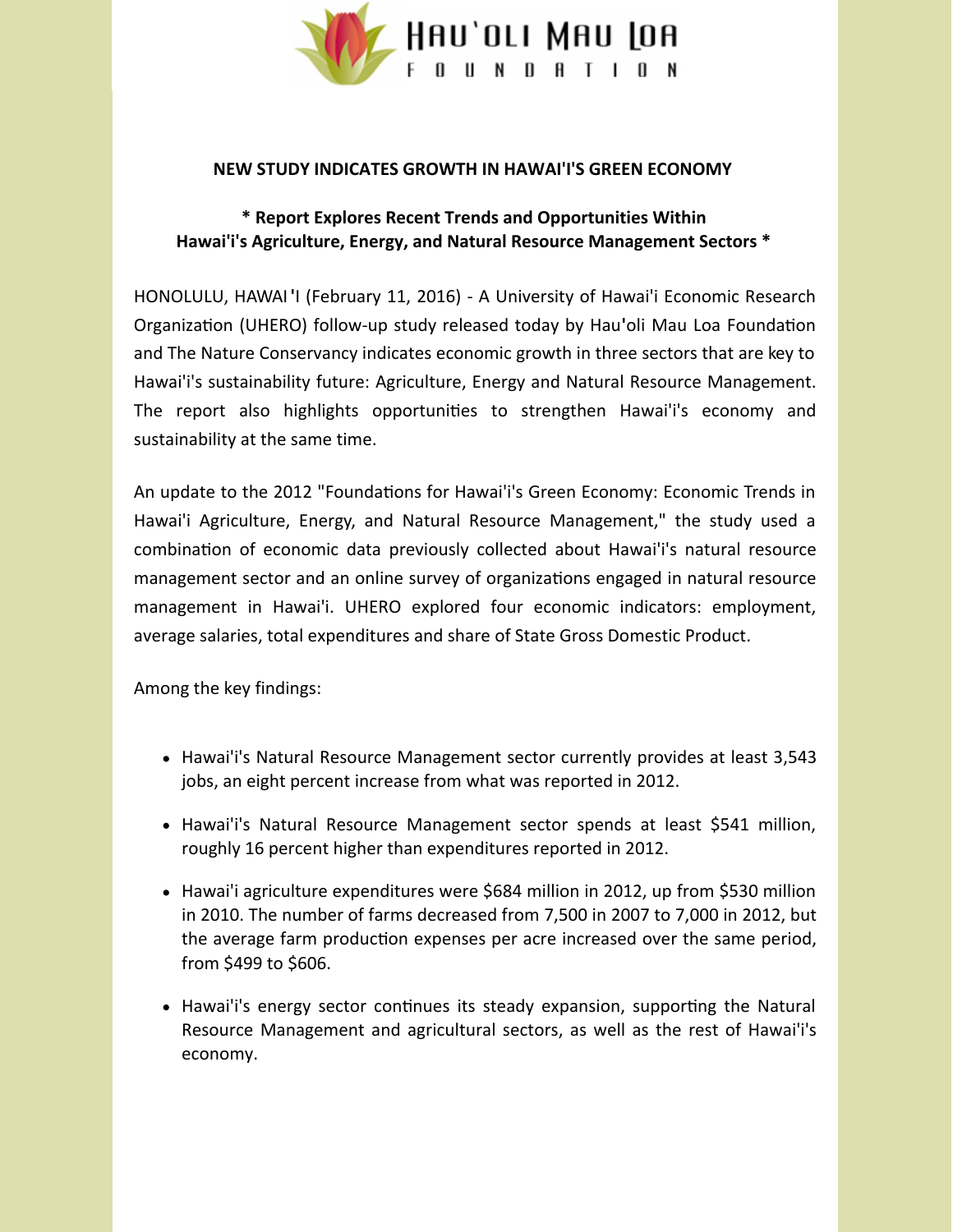

#### **NEW STUDY INDICATES GROWTH IN HAWAI'I'S GREEN ECONOMY**

# **\* Report Explores Recent Trends and Opportunities Within Hawai'i's Agriculture, Energy, and Natural Resource Management Sectors \***

HONOLULU, HAWAI **'**I (February 11, 2016) - A University of Hawai'i Economic Research Organization (UHERO) follow-up study released today by Hau'oli Mau Loa Foundation and The Nature Conservancy indicates economic growth in three sectors that are key to Hawai'i's sustainability future: Agriculture, Energy and Natural Resource Management. The report also highlights opportunities to strengthen Hawai'i's economy and sustainability at the same time.

An update to the 2012 "Foundations for Hawai'i's Green Economy: Economic Trends in Hawai'i Agriculture, Energy, and Natural Resource Management," the study used a combination of economic data previously collected about Hawai'i's natural resource management sector and an online survey of organizations engaged in natural resource management in Hawai'i. UHERO explored four economic indicators: employment, average salaries, total expenditures and share of State Gross Domestic Product.

Among the key findings:

- Hawai'i's Natural Resource Management sector currently provides at least 3,543 jobs, an eight percent increase from what was reported in 2012.
- Hawai'i's Natural Resource Management sector spends at least \$541 million, roughly 16 percent higher than expenditures reported in 2012.
- Hawai'i agriculture expenditures were \$684 million in 2012, up from \$530 million in 2010. The number of farms decreased from 7,500 in 2007 to 7,000 in 2012, but the average farm production expenses per acre increased over the same period, from \$499 to \$606.
- Hawai'i's energy sector continues its steady expansion, supporting the Natural Resource Management and agricultural sectors, as well as the rest of Hawai'i's economy.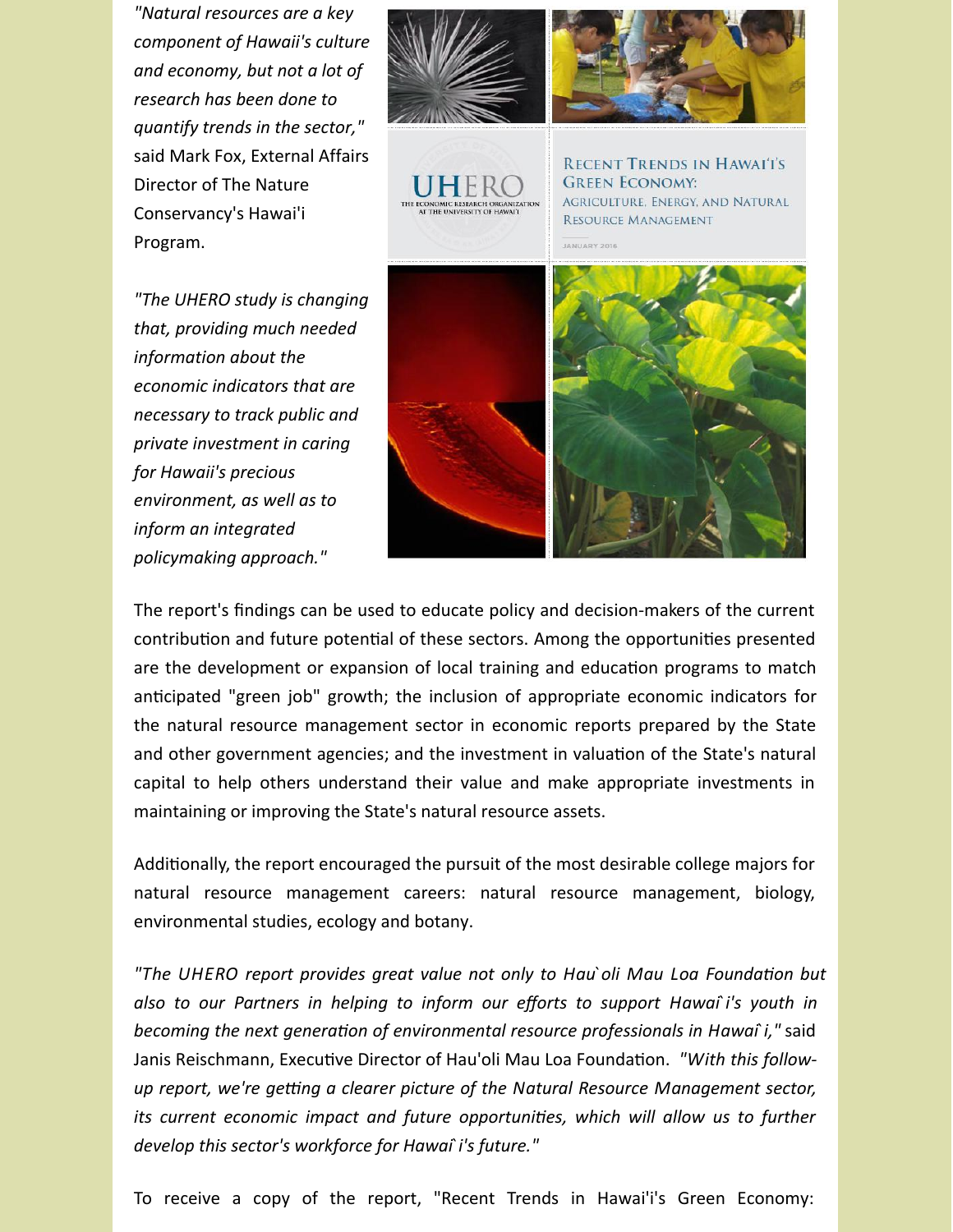*"Natural resources are a key component of Hawaii's culture and economy, but not a lot of research has been done to quantify trends in the sector,"* said Mark Fox, External Affairs Director of The Nature Conservancy's Hawai'i Program.

*"The UHERO study is changing that, providing much needed information about the economic indicators that are necessary to track public and private investment in caring for Hawaii's precious environment, as well as to inform an integrated policymaking approach."*



The report's findings can be used to educate policy and decision-makers of the current contribution and future potential of these sectors. Among the opportunities presented are the development or expansion of local training and education programs to match anticipated "green job" growth; the inclusion of appropriate economic indicators for the natural resource management sector in economic reports prepared by the State and other government agencies; and the investment in valuation of the State's natural capital to help others understand their value and make appropriate investments in maintaining or improving the State's natural resource assets.

Additionally, the report encouraged the pursuit of the most desirable college majors for natural resource management careers: natural resource management, biology, environmental studies, ecology and botany.

*"The* UHERO report provides great value not only to Hau'oli Mau Loa Foundation but *also to our Partners in helping to inform our efforts to support Hawai`i's youth in becoming* the next generation of environmental resource professionals in Hawaî i," said Janis Reischmann, Executive Director of Hau'oli Mau Loa Foundation. "With this follow*up* report, we're getting a clearer picture of the Natural Resource Management sector, *its current economic impact and future opportunities, which will allow us to further develop this sector's workforce for Hawai`i's future."*

To receive a copy of the report, "Recent Trends in Hawai'i's Green Economy: